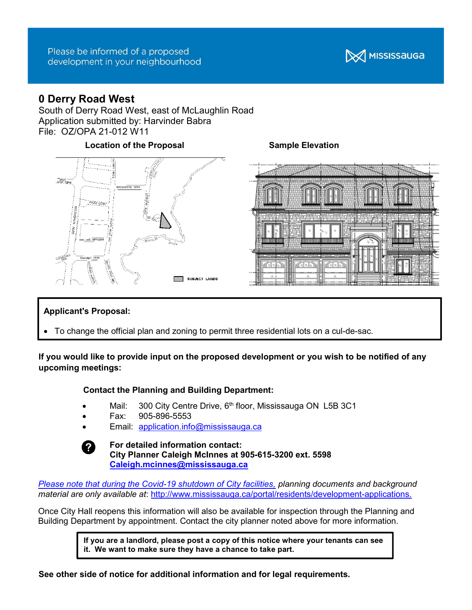## Please be informed of a proposed development in your neighbourhood



# 0 Derry Road West

South of Derry Road West, east of McLaughlin Road Application submitted by: Harvinder Babra File: OZ/OPA 21-012 W11

## Location of the Proposal Sample Elevation





## Applicant's Proposal:

To change the official plan and zoning to permit three residential lots on a cul-de-sac.

## If you would like to provide input on the proposed development or you wish to be notified of any upcoming meetings:

## Contact the Planning and Building Department:

- Mail: 300 City Centre Drive,  $6<sup>th</sup>$  floor, Mississauga ON L5B 3C1
- Fax: 905-896-5553
- Email: application.info@mississauga.ca



For detailed information contact: City Planner Caleigh McInnes at 905-615-3200 ext. 5598 Caleigh.mcinnes@mississauga.ca

Please note that during the Covid-19 shutdown of City facilities, planning documents and background material are only available at: http://www.mississauga.ca/portal/residents/development-applications.

Once City Hall reopens this information will also be available for inspection through the Planning and Building Department by appointment. Contact the city planner noted above for more information.

> If you are a landlord, please post a copy of this notice where your tenants can see it. We want to make sure they have a chance to take part.

See other side of notice for additional information and for legal requirements.